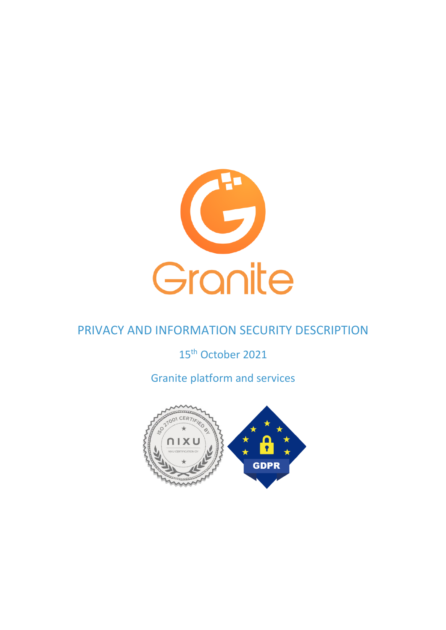

# PRIVACY AND INFORMATION SECURITY DESCRIPTION

## 15<sup>th</sup> October 2021

# Granite platform and services

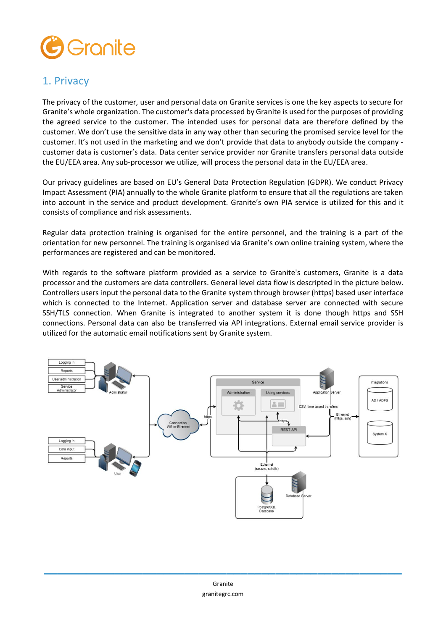

#### 1. Privacy

The privacy of the customer, user and personal data on Granite services is one the key aspects to secure for Granite's whole organization. The customer's data processed by Granite is used for the purposes of providing the agreed service to the customer. The intended uses for personal data are therefore defined by the customer. We don't use the sensitive data in any way other than securing the promised service level for the customer. It's not used in the marketing and we don't provide that data to anybody outside the company customer data is customer's data. Data center service provider nor Granite transfers personal data outside the EU/EEA area. Any sub-processor we utilize, will process the personal data in the EU/EEA area.

Our privacy guidelines are based on EU's General Data Protection Regulation (GDPR). We conduct Privacy Impact Assessment (PIA) annually to the whole Granite platform to ensure that all the regulations are taken into account in the service and product development. Granite's own PIA service is utilized for this and it consists of compliance and risk assessments.

Regular data protection training is organised for the entire personnel, and the training is a part of the orientation for new personnel. The training is organised via Granite's own online training system, where the performances are registered and can be monitored.

With regards to the software platform provided as a service to Granite's customers, Granite is a data processor and the customers are data controllers. General level data flow is descripted in the picture below. Controllers users input the personal data to the Granite system through browser (https) based user interface which is connected to the Internet. Application server and database server are connected with secure SSH/TLS connection. When Granite is integrated to another system it is done though https and SSH connections. Personal data can also be transferred via API integrations. External email service provider is utilized for the automatic email notifications sent by Granite system.

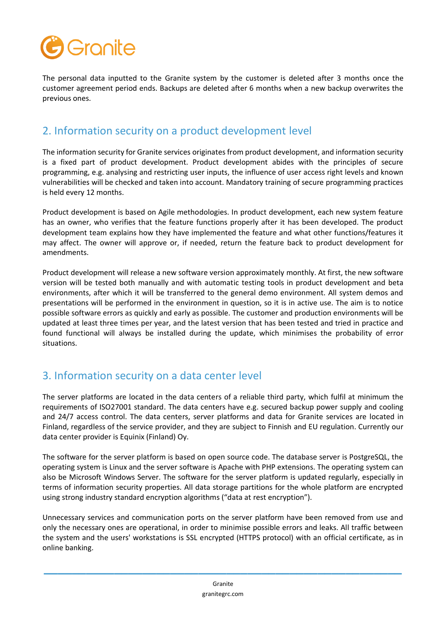

The personal data inputted to the Granite system by the customer is deleted after 3 months once the customer agreement period ends. Backups are deleted after 6 months when a new backup overwrites the previous ones.

#### 2. Information security on a product development level

The information security for Granite services originates from product development, and information security is a fixed part of product development. Product development abides with the principles of secure programming, e.g. analysing and restricting user inputs, the influence of user access right levels and known vulnerabilities will be checked and taken into account. Mandatory training of secure programming practices is held every 12 months.

Product development is based on Agile methodologies. In product development, each new system feature has an owner, who verifies that the feature functions properly after it has been developed. The product development team explains how they have implemented the feature and what other functions/features it may affect. The owner will approve or, if needed, return the feature back to product development for amendments.

Product development will release a new software version approximately monthly. At first, the new software version will be tested both manually and with automatic testing tools in product development and beta environments, after which it will be transferred to the general demo environment. All system demos and presentations will be performed in the environment in question, so it is in active use. The aim is to notice possible software errors as quickly and early as possible. The customer and production environments will be updated at least three times per year, and the latest version that has been tested and tried in practice and found functional will always be installed during the update, which minimises the probability of error situations.

### 3. Information security on a data center level

The server platforms are located in the data centers of a reliable third party, which fulfil at minimum the requirements of ISO27001 standard. The data centers have e.g. secured backup power supply and cooling and 24/7 access control. The data centers, server platforms and data for Granite services are located in Finland, regardless of the service provider, and they are subject to Finnish and EU regulation. Currently our data center provider is Equinix (Finland) Oy.

The software for the server platform is based on open source code. The database server is PostgreSQL, the operating system is Linux and the server software is Apache with PHP extensions. The operating system can also be Microsoft Windows Server. The software for the server platform is updated regularly, especially in terms of information security properties. All data storage partitions for the whole platform are encrypted using strong industry standard encryption algorithms ("data at rest encryption").

Unnecessary services and communication ports on the server platform have been removed from use and only the necessary ones are operational, in order to minimise possible errors and leaks. All traffic between the system and the users' workstations is SSL encrypted (HTTPS protocol) with an official certificate, as in online banking.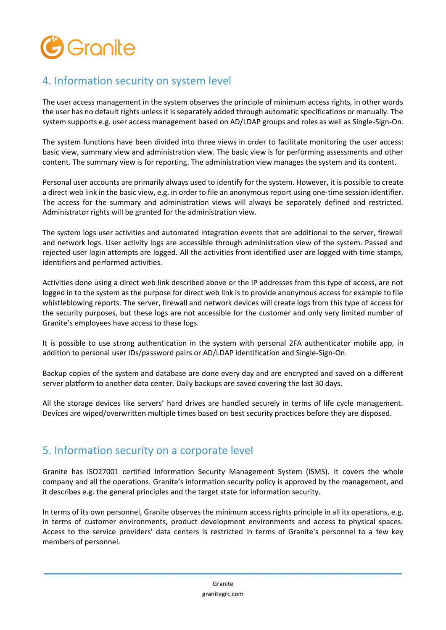

### 4. Information security on system level

The user access management in the system observes the principle of minimum access rights, in other words the user has no default rights unless it is separately added through automatic specifications or manually. The system supports e.g. user access management based on AD/LDAP groups and roles as well as Single-Sign-On.

The system functions have been divided into three views in order to facilitate monitoring the user access: basic view, summary view and administration view. The basic view is for performing assessments and other content. The summary view is for reporting. The administration view manages the system and its content.

Personal user accounts are primarily always used to identify for the system. However, it is possible to create a direct web link in the basic view, e.g. in order to file an anonymous report using one-time session identifier. The access for the summary and administration views will always be separately defined and restricted. Administrator rights will be granted for the administration view.

The system logs user activities and automated integration events that are additional to the server, firewall and network logs. User activity logs are accessible through administration view of the system. Passed and rejected user login attempts are logged. All the activities from identified user are logged with time stamps, identifiers and performed activities.

Activities done using a direct web link described above or the IP addresses from this type of access, are not logged in to the system as the purpose for direct web link is to provide anonymous access for example to file whistleblowing reports. The server, firewall and network devices will create logs from this type of access for the security purposes, but these logs are not accessible for the customer and only very limited number of Granite's employees have access to these logs.

It is possible to use strong authentication in the system with personal 2FA authenticator mobile app, in addition to personal user IDs/password pairs or AD/LDAP identification and Single-Sign-On.

Backup copies of the system and database are done every day and are encrypted and saved on a different server platform to another data center. Daily backups are saved covering the last 30 days.

All the storage devices like servers' hard drives are handled securely in terms of life cycle management. Devices are wiped/overwritten multiple times based on best security practices before they are disposed.

#### 5. Information security on a corporate level

Granite has ISO27001 certified Information Security Management System (ISMS). It covers the whole company and all the operations. Granite's information security policy is approved by the management, and it describes e.g. the general principles and the target state for information security.

In terms of its own personnel, Granite observes the minimum access rights principle in all its operations, e.g. in terms of customer environments, product development environments and access to physical spaces. Access to the service providers' data centers is restricted in terms of Granite's personnel to a few key members of personnel.